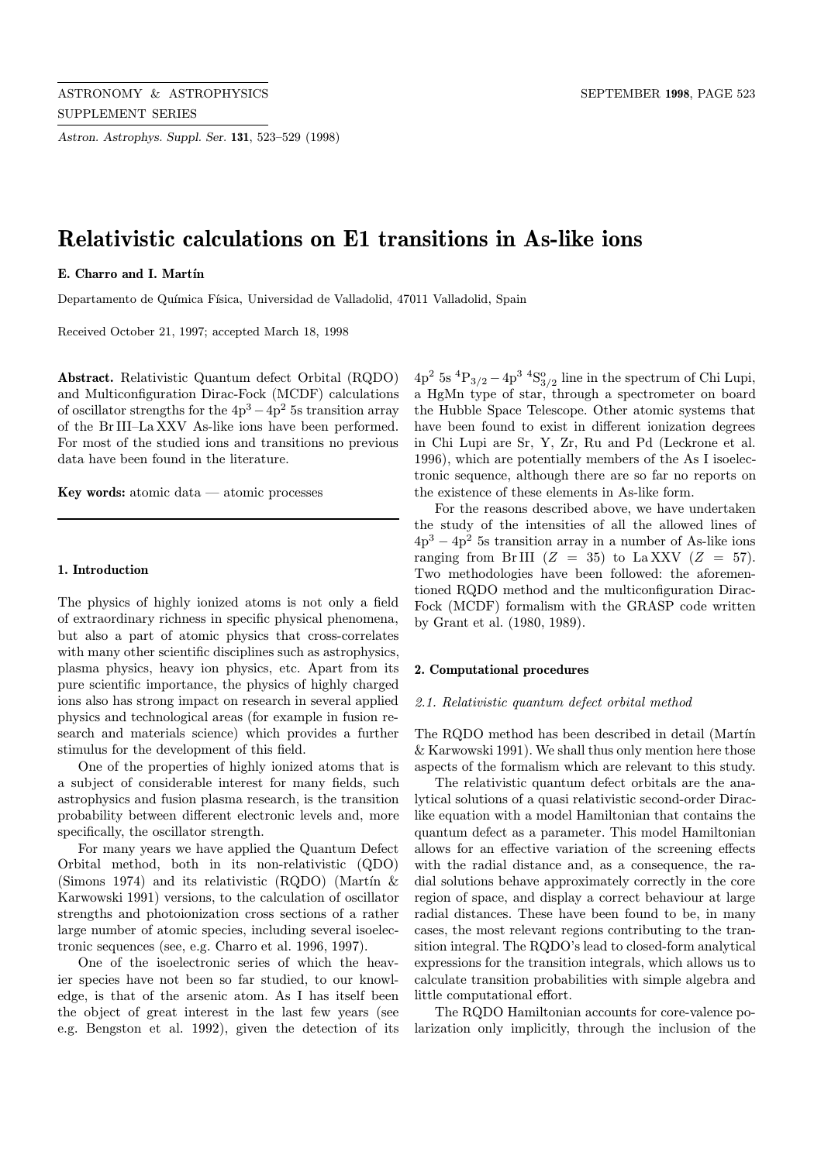Astron. Astrophys. Suppl. Ser. 131, 523–529 (1998)

# Relativistic calculations on E1 transitions in As-like ions

## E. Charro and I. Martín

Departamento de Química Física, Universidad de Valladolid, 47011 Valladolid, Spain

Received October 21, 1997; accepted March 18, 1998

Abstract. Relativistic Quantum defect Orbital (RQDO) and Multiconfiguration Dirac-Fock (MCDF) calculations of oscillator strengths for the  $4p^3 - 4p^2$  5s transition array of the Br III–La XXV As-like ions have been performed. For most of the studied ions and transitions no previous data have been found in the literature.

Key words: atomic data — atomic processes

# 1. Introduction

The physics of highly ionized atoms is not only a field of extraordinary richness in specific physical phenomena, but also a part of atomic physics that cross-correlates with many other scientific disciplines such as astrophysics, plasma physics, heavy ion physics, etc. Apart from its pure scientific importance, the physics of highly charged ions also has strong impact on research in several applied physics and technological areas (for example in fusion research and materials science) which provides a further stimulus for the development of this field.

One of the properties of highly ionized atoms that is a subject of considerable interest for many fields, such astrophysics and fusion plasma research, is the transition probability between different electronic levels and, more specifically, the oscillator strength.

For many years we have applied the Quantum Defect Orbital method, both in its non-relativistic (QDO) (Simons 1974) and its relativistic (RQDO) (Martín  $\&$ Karwowski 1991) versions, to the calculation of oscillator strengths and photoionization cross sections of a rather large number of atomic species, including several isoelectronic sequences (see, e.g. Charro et al. 1996, 1997).

One of the isoelectronic series of which the heavier species have not been so far studied, to our knowledge, is that of the arsenic atom. As I has itself been the object of great interest in the last few years (see e.g. Bengston et al. 1992), given the detection of its

 $4p^2$  5s  ${}^4P_{3/2} - 4p^3$   ${}^4S^o_{3/2}$  line in the spectrum of Chi Lupi, a HgMn type of star, through a spectrometer on board the Hubble Space Telescope. Other atomic systems that have been found to exist in different ionization degrees in Chi Lupi are Sr, Y, Zr, Ru and Pd (Leckrone et al. 1996), which are potentially members of the As I isoelectronic sequence, although there are so far no reports on the existence of these elements in As-like form.

For the reasons described above, we have undertaken the study of the intensities of all the allowed lines of  $4p^3 - 4p^2$  5s transition array in a number of As-like ions ranging from Br III  $(Z = 35)$  to La XXV  $(Z = 57)$ . Two methodologies have been followed: the aforementioned RQDO method and the multiconfiguration Dirac-Fock (MCDF) formalism with the GRASP code written by Grant et al. (1980, 1989).

## 2. Computational procedures

## 2.1. Relativistic quantum defect orbital method

The RQDO method has been described in detail (Martín) & Karwowski 1991). We shall thus only mention here those aspects of the formalism which are relevant to this study.

The relativistic quantum defect orbitals are the analytical solutions of a quasi relativistic second-order Diraclike equation with a model Hamiltonian that contains the quantum defect as a parameter. This model Hamiltonian allows for an effective variation of the screening effects with the radial distance and, as a consequence, the radial solutions behave approximately correctly in the core region of space, and display a correct behaviour at large radial distances. These have been found to be, in many cases, the most relevant regions contributing to the transition integral. The RQDO's lead to closed-form analytical expressions for the transition integrals, which allows us to calculate transition probabilities with simple algebra and little computational effort.

The RQDO Hamiltonian accounts for core-valence polarization only implicitly, through the inclusion of the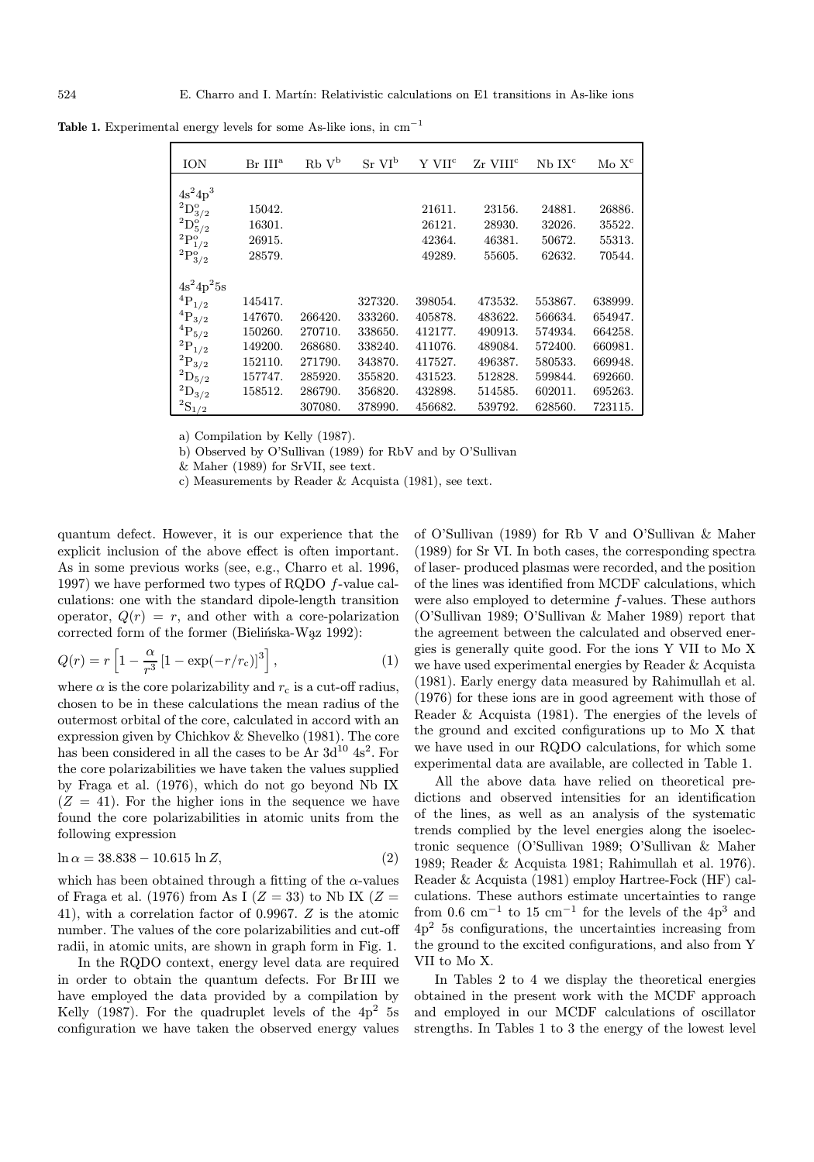| <b>ION</b>                                                                    | $Br$ $IIIa$ | $Rb V^b$ | $Sr$ $VI^b$ | Y VII <sup>c</sup> | $Zr$ VIII <sup>c</sup> | $Nb$ $IXc$ | Mo X <sup>c</sup> |
|-------------------------------------------------------------------------------|-------------|----------|-------------|--------------------|------------------------|------------|-------------------|
| $4s^24p^3$                                                                    |             |          |             |                    |                        |            |                   |
| $^{2}D^{o}_{3/2}$                                                             | 15042.      |          |             | 21611.             | 23156.                 | 24881.     | 26886.            |
|                                                                               | 16301.      |          |             | 26121.             | 28930.                 | 32026.     | 35522.            |
|                                                                               | 26915.      |          |             | 42364.             | 46381.                 | 50672.     | 55313.            |
| ${}^{2}D_{5/2}^{\circ}$<br>${}^{2}P_{1/2}^{\circ}$<br>${}^{2}P_{3/2}^{\circ}$ | 28579.      |          |             | 49289.             | 55605.                 | 62632.     | 70544.            |
| $4s^24p^25s$                                                                  |             |          |             |                    |                        |            |                   |
| ${}^{4}P_{1/2}$                                                               | 145417.     |          | 327320.     | 398054.            | 473532.                | 553867.    | 638999.           |
| ${}^{4}{\rm P}_{3/2}$                                                         | 147670.     | 266420.  | 333260.     | 405878.            | 483622.                | 566634.    | 654947.           |
| ${}^4\mathrm{P}_{5/2}^+$                                                      | 150260.     | 270710.  | 338650.     | 412177.            | 490913.                | 574934.    | 664258.           |
| $\mathrm{^{2}P_{1/2}}$                                                        | 149200.     | 268680.  | 338240.     | 411076.            | 489084.                | 572400.    | 660981.           |
| ${}^{2}P_{3/2}$                                                               | 152110.     | 271790.  | 343870.     | 417527.            | 496387.                | 580533.    | 669948.           |
| $^2\mathrm{D}_{5/2}$                                                          | 157747.     | 285920.  | 355820.     | 431523.            | 512828.                | 599844.    | 692660.           |
| ${}^{2}D_{3/2}$                                                               | 158512.     | 286790.  | 356820.     | 432898.            | 514585.                | 602011.    | 695263.           |
| $^2\mathrm{S}_{1/2}$                                                          |             | 307080.  | 378990.     | 456682.            | 539792.                | 628560.    | 723115.           |

Table 1. Experimental energy levels for some As-like ions, in  $cm^{-1}$ 

a) Compilation by Kelly (1987).

b) Observed by O'Sullivan (1989) for RbV and by O'Sullivan

& Maher (1989) for SrVII, see text.

c) Measurements by Reader & Acquista (1981), see text.

quantum defect. However, it is our experience that the explicit inclusion of the above effect is often important. As in some previous works (see, e.g., Charro et al. 1996, 1997) we have performed two types of RQDO f-value calculations: one with the standard dipole-length transition operator,  $Q(r) = r$ , and other with a core-polarization corrected form of the former (Bielińska-Wąz 1992):

$$
Q(r) = r \left[ 1 - \frac{\alpha}{r^3} \left[ 1 - \exp(-r/r_c) \right]^3 \right], \tag{1}
$$

where  $\alpha$  is the core polarizability and  $r_c$  is a cut-off radius, chosen to be in these calculations the mean radius of the outermost orbital of the core, calculated in accord with an expression given by Chichkov & Shevelko (1981). The core has been considered in all the cases to be Ar  $3d^{10}$  4s<sup>2</sup>. For the core polarizabilities we have taken the values supplied by Fraga et al. (1976), which do not go beyond Nb IX  $(Z = 41)$ . For the higher ions in the sequence we have found the core polarizabilities in atomic units from the following expression

$$
\ln \alpha = 38.838 - 10.615 \ln Z,\tag{2}
$$

which has been obtained through a fitting of the  $\alpha$ -values of Fraga et al. (1976) from As I ( $Z = 33$ ) to Nb IX ( $Z =$ 41), with a correlation factor of 0.9967. Z is the atomic number. The values of the core polarizabilities and cut-off radii, in atomic units, are shown in graph form in Fig. 1.

In the RQDO context, energy level data are required in order to obtain the quantum defects. For Br III we have employed the data provided by a compilation by Kelly (1987). For the quadruplet levels of the  $4p^2$  5s configuration we have taken the observed energy values of O'Sullivan (1989) for Rb V and O'Sullivan & Maher (1989) for Sr VI. In both cases, the corresponding spectra of laser- produced plasmas were recorded, and the position of the lines was identified from MCDF calculations, which were also employed to determine f-values. These authors (O'Sullivan 1989; O'Sullivan & Maher 1989) report that the agreement between the calculated and observed energies is generally quite good. For the ions Y VII to Mo X we have used experimental energies by Reader & Acquista (1981). Early energy data measured by Rahimullah et al. (1976) for these ions are in good agreement with those of Reader & Acquista (1981). The energies of the levels of the ground and excited configurations up to Mo X that we have used in our RQDO calculations, for which some experimental data are available, are collected in Table 1.

All the above data have relied on theoretical predictions and observed intensities for an identification of the lines, as well as an analysis of the systematic trends complied by the level energies along the isoelectronic sequence (O'Sullivan 1989; O'Sullivan & Maher 1989; Reader & Acquista 1981; Rahimullah et al. 1976). Reader & Acquista (1981) employ Hartree-Fock (HF) calculations. These authors estimate uncertainties to range from 0.6  $\rm cm^{-1}$  to 15  $\rm cm^{-1}$  for the levels of the  $\rm 4p^3$  and 4p<sup>2</sup> 5s configurations, the uncertainties increasing from the ground to the excited configurations, and also from Y VII to Mo X.

In Tables 2 to 4 we display the theoretical energies obtained in the present work with the MCDF approach and employed in our MCDF calculations of oscillator strengths. In Tables 1 to 3 the energy of the lowest level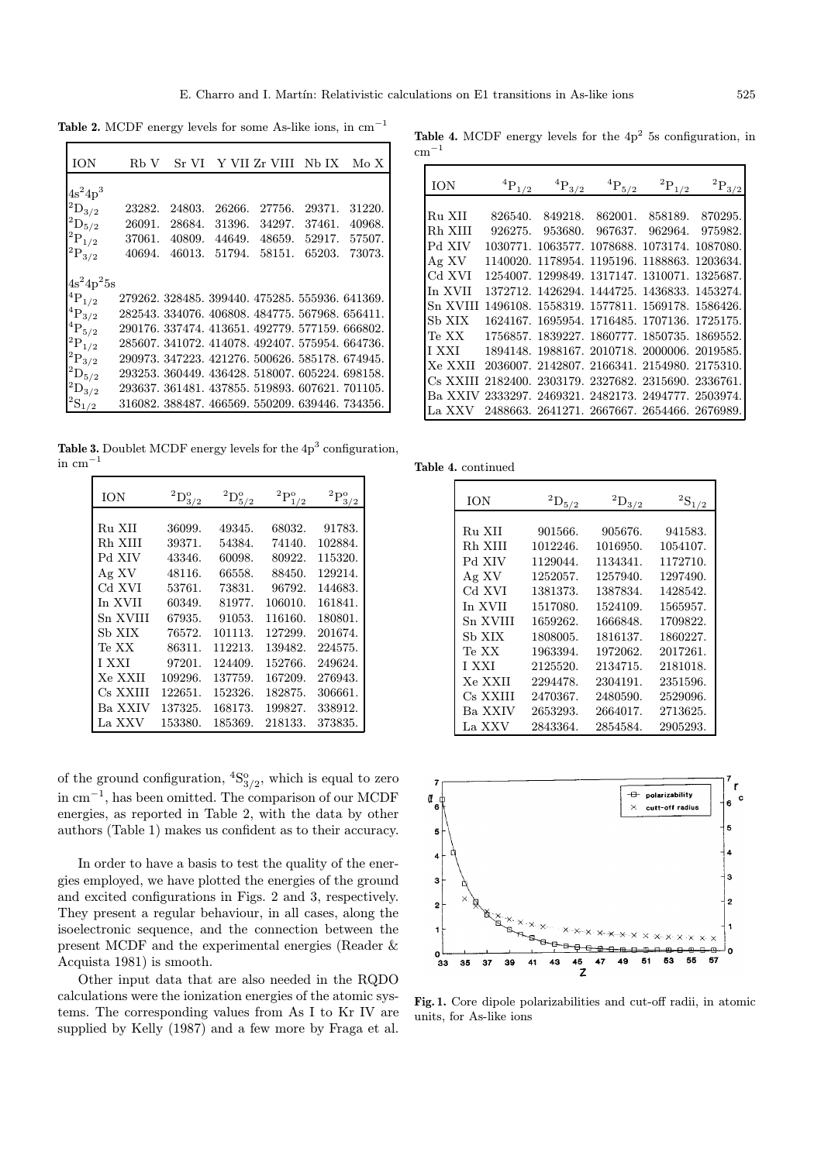Table 2. MCDF energy levels for some As-like ions, in  $cm^{-1}$ 

| <b>ION</b>             | Rb V   |        |        | Sr VI Y VII Zr VIII Nb IX                       |        | Mo X   |
|------------------------|--------|--------|--------|-------------------------------------------------|--------|--------|
|                        |        |        |        |                                                 |        |        |
| $4s^24p^3$             |        |        |        |                                                 |        |        |
| $\rm ^2D_{3/2}$        | 23282. | 24803. | 26266. | 27756.                                          | 29371. | 31220. |
| $\mathrm{^{2}D_{5/2}}$ | 26091. | 28684. | 31396. | 34297.                                          | 37461. | 40968. |
| $\rm{ ^2P_{1/2}}$      | 37061. | 40809. | 44649. | 48659.                                          | 52917. | 57507. |
| $\mathrm{^{2}P_{3/2}}$ | 40694. | 46013. | 51794. | 58151.                                          | 65203. | 73073. |
|                        |        |        |        |                                                 |        |        |
| $4s^24p^25s$           |        |        |        |                                                 |        |        |
| ${}^{4}P_{1/2}$        |        |        |        | 279262, 328485, 399440, 475285, 555936, 641369, |        |        |
| $^4\mathrm{P}_{3/2}$   |        |        |        | 282543. 334076. 406808. 484775. 567968. 656411. |        |        |
| $\rm ^4P_5/2$          |        |        |        | 290176, 337474, 413651, 492779, 577159, 666802, |        |        |
| $\mathrm{^{2}P_{1/2}}$ |        |        |        | 285607, 341072, 414078, 492407, 575954, 664736, |        |        |
| $\mathrm{^{2}P_{3/2}}$ |        |        |        | 290973, 347223, 421276, 500626, 585178, 674945, |        |        |
| $\mathrm{^{2}D_{5/2}}$ |        |        |        | 293253, 360449, 436428, 518007, 605224, 698158, |        |        |
| $^2\mathrm{D}_{3/2}$   |        |        |        | 293637. 361481. 437855. 519893. 607621. 701105. |        |        |
| $\mathrm{^{2}S_{1/2}}$ |        |        |        | 316082, 388487, 466569, 550209, 639446, 734356, |        |        |

Table 3. Doublet MCDF energy levels for the  $4p<sup>3</sup>$  configuration,  $\rm \, cm^{-1}$ 

| ION          | $^{2}D_{3/2}^{o}$ | $^{2}D^{o}_{5/2}$ | $^2\mathrm{P}_{1/2}^{\mathrm{o}}$ | $^2\mathrm{P}_\mathrm{3/2}^{\mathrm{o}}$ |
|--------------|-------------------|-------------------|-----------------------------------|------------------------------------------|
|              |                   |                   |                                   |                                          |
| Ru XII       | 36099.            | 49345.            | 68032.                            | 91783.                                   |
| Rh XIII      | 39371.            | 54384.            | 74140.                            | 102884.                                  |
| Pd XIV       | 43346.            | 60098.            | 80922.                            | 115320.                                  |
| Ag XV        | 48116.            | 66558.            | 88450.                            | 129214.                                  |
| Cd XVI       | 53761.            | 73831.            | 96792.                            | 144683.                                  |
| In XVII      | 60349.            | 81977.            | 106010.                           | 161841.                                  |
| Sn XVIII     | 67935.            | 91053.            | 116160.                           | 180801.                                  |
| Sb XIX       | 76572.            | 101113.           | 127299.                           | 201674.                                  |
| Te XX        | 86311.            | 112213.           | 139482.                           | 224575.                                  |
| <b>I XXI</b> | 97201.            | 124409.           | 152766.                           | 249624.                                  |
| Xe XXII      | 109296.           | 137759.           | 167209.                           | 276943.                                  |
| Cs XXIII     | 122651.           | 152326.           | 182875.                           | 306661.                                  |
| Ba XXIV      | 137325.           | 168173.           | 199827.                           | 338912.                                  |
| La XXV       | 153380.           | 185369.           | 218133.                           | 373835.                                  |

of the ground configuration,  ${}^{4}S_{3/2}^{o}$ , which is equal to zero in cm<sup>−</sup><sup>1</sup>, has been omitted. The comparison of our MCDF energies, as reported in Table 2, with the data by other authors (Table 1) makes us confident as to their accuracy.

In order to have a basis to test the quality of the energies employed, we have plotted the energies of the ground and excited configurations in Figs. 2 and 3, respectively. They present a regular behaviour, in all cases, along the isoelectronic sequence, and the connection between the present MCDF and the experimental energies (Reader & Acquista 1981) is smooth.

Other input data that are also needed in the RQDO calculations were the ionization energies of the atomic systems. The corresponding values from As I to Kr IV are supplied by Kelly (1987) and a few more by Fraga et al.

Table 4. MCDF energy levels for the  $4p<sup>2</sup>$  5s configuration, in  $cm^{-1}$ 

| ION      |          | ${}^{4}P_{3/2}$ | ${}^{4}P_{5/2}$                              | ${}^{2}P_{1/2}$         | $\mathrm{^{2}P_{3/2}}$ |
|----------|----------|-----------------|----------------------------------------------|-------------------------|------------------------|
|          |          |                 |                                              |                         |                        |
| Ru XII   | 826540.  | 849218.         |                                              | 862001. 858189. 870295. |                        |
| Rh XIII  | 926275.  |                 | 953680. 967637. 962964.                      |                         | 975982.                |
| Pd XIV   | 1030771. |                 | 1063577, 1078688, 1073174, 1087080,          |                         |                        |
| Ag XV    | 1140020. |                 | 1178954, 1195196, 1188863, 1203634,          |                         |                        |
| Cd XVI   | 1254007. |                 | 1299849, 1317147, 1310071.                   |                         | 1325687.               |
| In XVII  |          |                 | 1372712, 1426294, 1444725, 1436833, 1453274, |                         |                        |
| Sn XVIII |          |                 | 1496108, 1558319, 1577811, 1569178, 1586426. |                         |                        |
| Sb XIX   |          |                 | 1624167. 1695954. 1716485. 1707136. 1725175. |                         |                        |
| Te XX    |          |                 | 1756857, 1839227, 1860777, 1850735, 1869552, |                         |                        |
| I XXI    |          |                 | 1894148, 1988167, 2010718, 2000006, 2019585, |                         |                        |
| Xe XXII  |          |                 | 2036007, 2142807, 2166341, 2154980, 2175310. |                         |                        |
| Cs XXIII |          |                 | 2182400, 2303179, 2327682, 2315690, 2336761. |                         |                        |
| Ba XXIV  |          |                 | 2333297, 2469321, 2482173, 2494777, 2503974, |                         |                        |
|          |          |                 | 2488663. 2641271. 2667667. 2654466. 2676989. |                         |                        |

Table 4. continued

| ION      | $^{2}D_{5/2}$ | $^{2}D_{3/2}$ | ${}^{2}S_{1/2}$ |
|----------|---------------|---------------|-----------------|
| Ru XII   | 901566.       | 905676.       | 941583.         |
| Rh XIII  | 1012246.      | 1016950.      | 1054107.        |
| Pd XIV   | 1129044.      | 1134341.      | 1172710.        |
| Ag XV    | 1252057.      | 1257940.      | 1297490.        |
| Cd XVI   | 1381373.      | 1387834.      | 1428542.        |
| In XVII  | 1517080.      | 1524109.      | 1565957.        |
| Sn XVIII | 1659262.      | 1666848.      | 1709822.        |
| Sb XIX   | 1808005.      | 1816137.      | 1860227.        |
| Te XX    | 1963394.      | 1972062.      | 2017261.        |
| I XXI    | 2125520.      | 2134715.      | 2181018.        |
| Xe XXII  | 2294478.      | 2304191.      | 2351596.        |
| Cs XXIII | 2470367.      | 2480590.      | 2529096.        |
| Ba XXIV  | 2653293.      | 2664017.      | 2713625.        |
| La XXV   | 2843364.      | 2854584.      | 2905293.        |



Fig. 1. Core dipole polarizabilities and cut-off radii, in atomic units, for As-like ions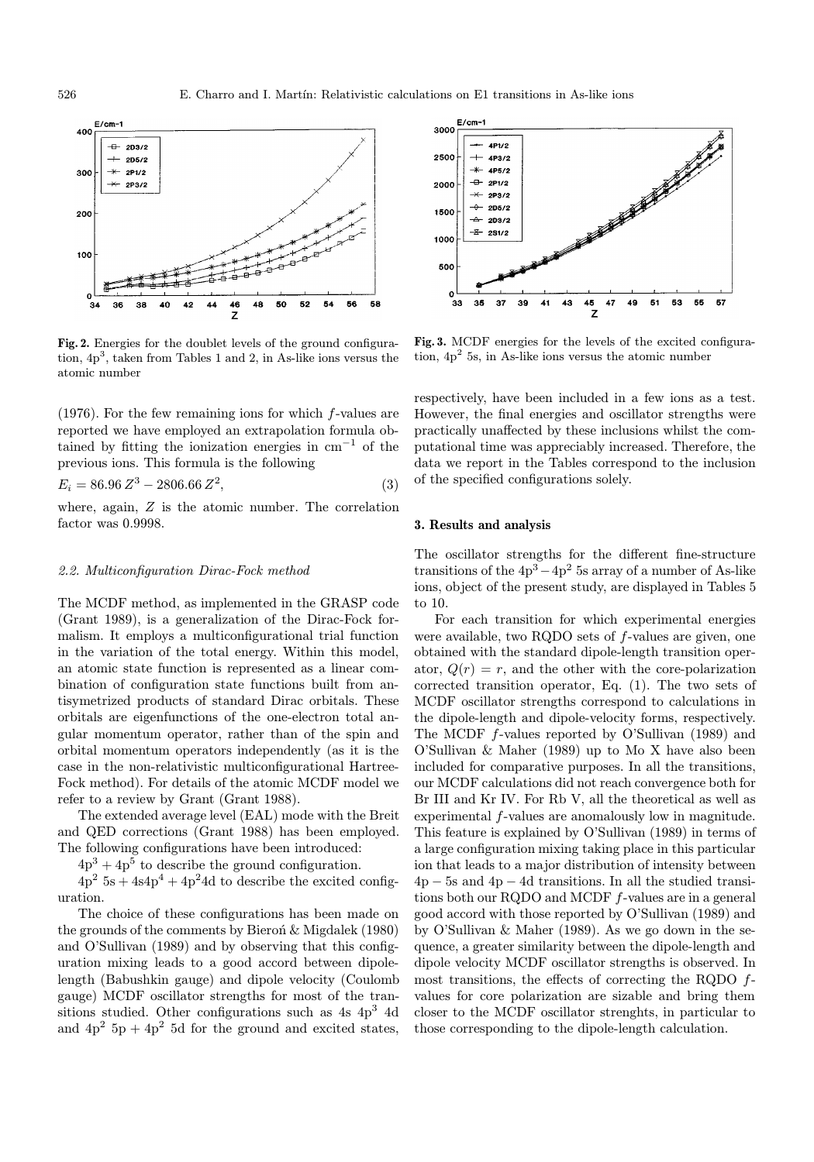

Fig. 2. Energies for the doublet levels of the ground configuration,  $4p<sup>3</sup>$ , taken from Tables 1 and 2, in As-like ions versus the atomic number

(1976). For the few remaining ions for which f-values are reported we have employed an extrapolation formula obtained by fitting the ionization energies in  $cm^{-1}$  of the previous ions. This formula is the following

$$
E_i = 86.96 Z^3 - 2806.66 Z^2, \tag{3}
$$

where, again, Z is the atomic number. The correlation factor was 0.9998.

#### 2.2. Multiconfiguration Dirac-Fock method

The MCDF method, as implemented in the GRASP code (Grant 1989), is a generalization of the Dirac-Fock formalism. It employs a multiconfigurational trial function in the variation of the total energy. Within this model, an atomic state function is represented as a linear combination of configuration state functions built from antisymetrized products of standard Dirac orbitals. These orbitals are eigenfunctions of the one-electron total angular momentum operator, rather than of the spin and orbital momentum operators independently (as it is the case in the non-relativistic multiconfigurational Hartree-Fock method). For details of the atomic MCDF model we refer to a review by Grant (Grant 1988).

The extended average level (EAL) mode with the Breit and QED corrections (Grant 1988) has been employed. The following configurations have been introduced:

 $4p^3 + 4p^5$  to describe the ground configuration.

 $4p^2$  5s + 4s4p<sup>4</sup> + 4p<sup>2</sup>4d to describe the excited configuration.

The choice of these configurations has been made on the grounds of the comments by Bieron $\&$  Migdalek (1980) and O'Sullivan (1989) and by observing that this configuration mixing leads to a good accord between dipolelength (Babushkin gauge) and dipole velocity (Coulomb gauge) MCDF oscillator strengths for most of the transitions studied. Other configurations such as 4s 4p<sup>3</sup> 4d and  $4p^2$  5p +  $4p^2$  5d for the ground and excited states,



Fig. 3. MCDF energies for the levels of the excited configuration,  $4p<sup>2</sup>$  5s, in As-like ions versus the atomic number

respectively, have been included in a few ions as a test. However, the final energies and oscillator strengths were practically unaffected by these inclusions whilst the computational time was appreciably increased. Therefore, the data we report in the Tables correspond to the inclusion of the specified configurations solely.

### 3. Results and analysis

The oscillator strengths for the different fine-structure transitions of the  $4p^3-4p^2$  5s array of a number of As-like ions, object of the present study, are displayed in Tables 5 to 10.

For each transition for which experimental energies were available, two RQDO sets of f-values are given, one obtained with the standard dipole-length transition operator,  $Q(r) = r$ , and the other with the core-polarization corrected transition operator, Eq. (1). The two sets of MCDF oscillator strengths correspond to calculations in the dipole-length and dipole-velocity forms, respectively. The MCDF f-values reported by O'Sullivan (1989) and O'Sullivan & Maher (1989) up to Mo X have also been included for comparative purposes. In all the transitions, our MCDF calculations did not reach convergence both for Br III and Kr IV. For Rb V, all the theoretical as well as experimental f-values are anomalously low in magnitude. This feature is explained by O'Sullivan (1989) in terms of a large configuration mixing taking place in this particular ion that leads to a major distribution of intensity between  $4p - 5s$  and  $4p - 4d$  transitions. In all the studied transitions both our RQDO and MCDF f-values are in a general good accord with those reported by O'Sullivan (1989) and by O'Sullivan & Maher (1989). As we go down in the sequence, a greater similarity between the dipole-length and dipole velocity MCDF oscillator strengths is observed. In most transitions, the effects of correcting the RQDO fvalues for core polarization are sizable and bring them closer to the MCDF oscillator strenghts, in particular to those corresponding to the dipole-length calculation.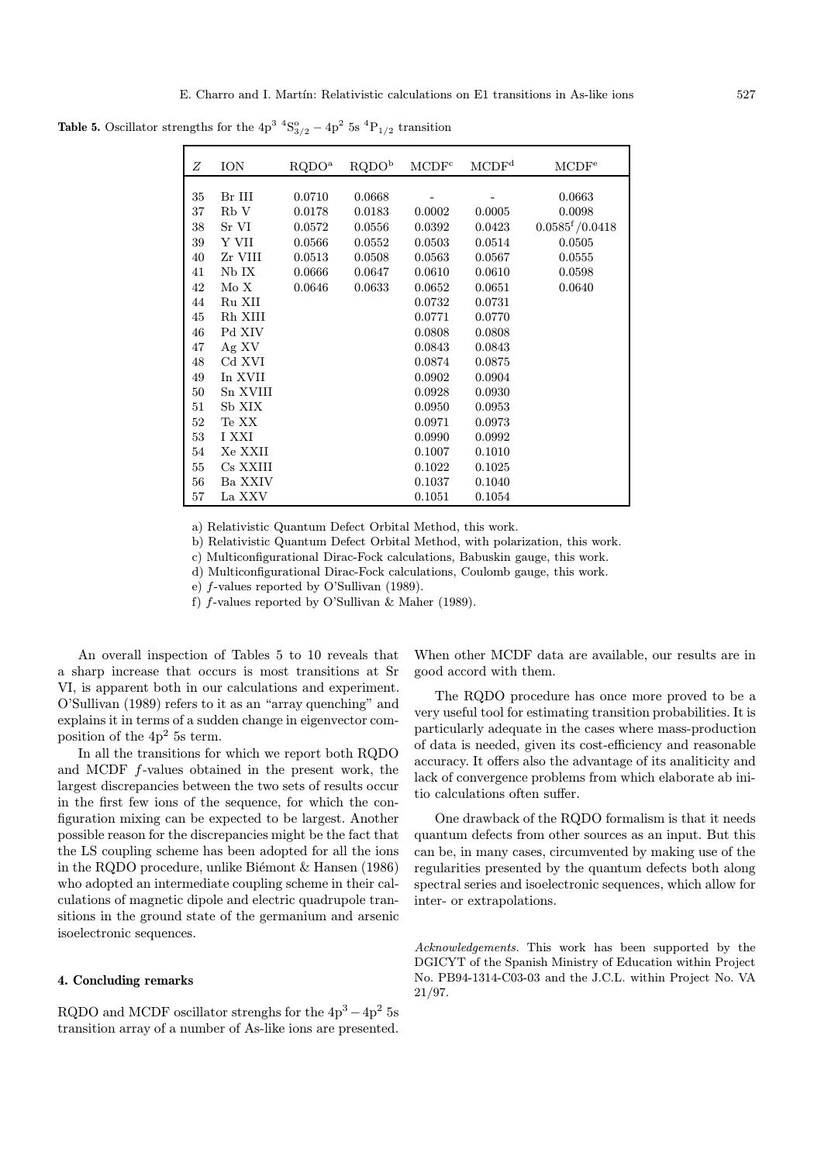| Ζ      | ION      | RQDO <sup>a</sup> | RQDO <sup>b</sup> | MCDF <sup>c</sup> | $\ensuremath{\mathrm{MCDF}^\mathrm{d}}\xspace$ | MCDF <sup>e</sup>             |
|--------|----------|-------------------|-------------------|-------------------|------------------------------------------------|-------------------------------|
|        |          |                   |                   |                   |                                                |                               |
| 35     | Br III   | 0.0710            | 0.0668            |                   |                                                | 0.0663                        |
| 37     | Rb V     | 0.0178            | 0.0183            | 0.0002            | 0.0005                                         | 0.0098                        |
| 38     | Sr VI    | 0.0572            | 0.0556            | 0.0392            | 0.0423                                         | $0.0585$ <sup>f</sup> /0.0418 |
| 39     | Y VII    | 0.0566            | 0.0552            | 0.0503            | 0.0514                                         | 0.0505                        |
| 40     | Zr VIII  | 0.0513            | 0.0508            | 0.0563            | 0.0567                                         | 0.0555                        |
| 41     | Nb IX    | 0.0666            | 0.0647            | 0.0610            | 0.0610                                         | 0.0598                        |
| 42     | Mo X     | 0.0646            | 0.0633            | 0.0652            | 0.0651                                         | 0.0640                        |
| 44     | Ru XII   |                   |                   | 0.0732            | 0.0731                                         |                               |
| 45     | Rh XIII  |                   |                   | 0.0771            | 0.0770                                         |                               |
| 46     | Pd XIV   |                   |                   | 0.0808            | 0.0808                                         |                               |
| 47     | Ag XV    |                   |                   | 0.0843            | 0.0843                                         |                               |
| 48     | Cd XVI   |                   |                   | 0.0874            | 0.0875                                         |                               |
| 49     | In XVII  |                   |                   | 0.0902            | 0.0904                                         |                               |
| 50     | Sn XVIII |                   |                   | 0.0928            | 0.0930                                         |                               |
| 51     | Sb XIX   |                   |                   | 0.0950            | 0.0953                                         |                               |
| $52\,$ | Te XX    |                   |                   | 0.0971            | 0.0973                                         |                               |
| 53     | I XXI    |                   |                   | 0.0990            | 0.0992                                         |                               |
| 54     | Xe XXII  |                   |                   | 0.1007            | 0.1010                                         |                               |
| $55\,$ | Cs XXIII |                   |                   | 0.1022            | 0.1025                                         |                               |
| 56     | Ba XXIV  |                   |                   | 0.1037            | 0.1040                                         |                               |
| 57     | La XXV   |                   |                   | 0.1051            | 0.1054                                         |                               |

**Table 5.** Oscillator strengths for the  $4p^3$   ${}^4S^o_{3/2} - 4p^2$  5s  ${}^4P_{1/2}$  transition

a) Relativistic Quantum Defect Orbital Method, this work.

b) Relativistic Quantum Defect Orbital Method, with polarization, this work.

c) Multiconfigurational Dirac-Fock calculations, Babuskin gauge, this work.

d) Multiconfigurational Dirac-Fock calculations, Coulomb gauge, this work.

e) f-values reported by O'Sullivan (1989).

f) f-values reported by O'Sullivan & Maher (1989).

An overall inspection of Tables 5 to 10 reveals that a sharp increase that occurs is most transitions at Sr VI, is apparent both in our calculations and experiment. O'Sullivan (1989) refers to it as an "array quenching" and explains it in terms of a sudden change in eigenvector composition of the  $4p^2$  5s term.

In all the transitions for which we report both RQDO and MCDF f-values obtained in the present work, the largest discrepancies between the two sets of results occur in the first few ions of the sequence, for which the configuration mixing can be expected to be largest. Another possible reason for the discrepancies might be the fact that the LS coupling scheme has been adopted for all the ions in the RQDO procedure, unlike Biémont  $&$  Hansen (1986) who adopted an intermediate coupling scheme in their calculations of magnetic dipole and electric quadrupole transitions in the ground state of the germanium and arsenic isoelectronic sequences.

# 4. Concluding remarks

RQDO and MCDF oscillator strenghs for the  $4p^3 - 4p^2$  5s transition array of a number of As-like ions are presented. When other MCDF data are available, our results are in good accord with them.

The RQDO procedure has once more proved to be a very useful tool for estimating transition probabilities. It is particularly adequate in the cases where mass-production of data is needed, given its cost-efficiency and reasonable accuracy. It offers also the advantage of its analiticity and lack of convergence problems from which elaborate ab initio calculations often suffer.

One drawback of the RQDO formalism is that it needs quantum defects from other sources as an input. But this can be, in many cases, circumvented by making use of the regularities presented by the quantum defects both along spectral series and isoelectronic sequences, which allow for inter- or extrapolations.

Acknowledgements. This work has been supported by the DGICYT of the Spanish Ministry of Education within Project No. PB94-1314-C03-03 and the J.C.L. within Project No. VA 21/97.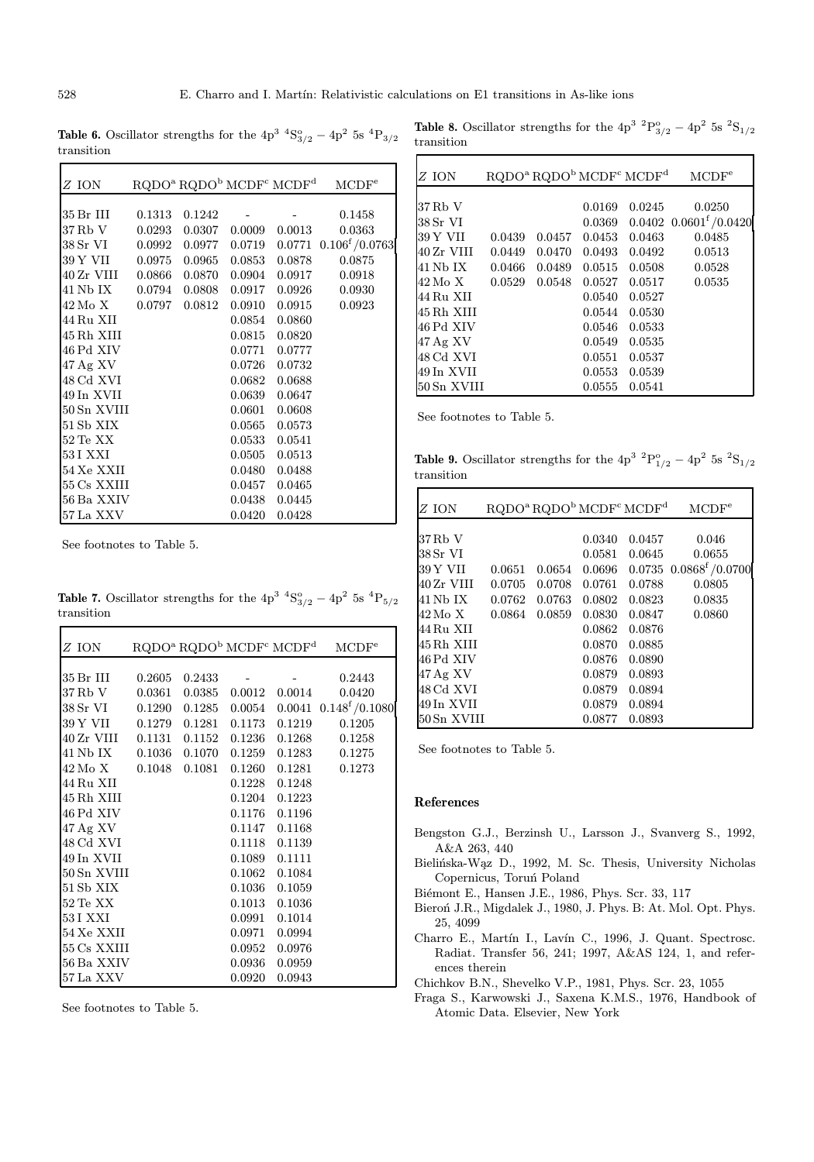**Table 6.** Oscillator strengths for the  $4p^3$   ${}^4S^o_{3/2} - 4p^2$  5s  ${}^4P_{3/2}$ transition

| Z ION                        |        | RQDO <sup>a</sup> RQDO <sup>b</sup> MCDF <sup>c</sup> MCDF <sup>d</sup> |        |               | MCDF <sup>e</sup>           |
|------------------------------|--------|-------------------------------------------------------------------------|--------|---------------|-----------------------------|
|                              |        |                                                                         |        |               |                             |
| 35 Br III                    | 0.1313 | 0.1242                                                                  |        |               | 0.1458                      |
| 37 Rb V                      | 0.0293 | 0.0307                                                                  | 0.0009 | 0.0013        | 0.0363                      |
| 38 Sr VI 0.0992              |        | 0.0977                                                                  | 0.0719 |               | $0.0771$ $0.106^{f}/0.0763$ |
| 39 Y VII 0.0975              |        | 0.0965                                                                  | 0.0853 | 0.0878        | 0.0875                      |
| 40 Zr VIII 0.0866            |        | 0.0870                                                                  | 0.0904 | 0.0917        | 0.0918                      |
| 41 Nb IX 0.0794              |        | 0.0808                                                                  | 0.0917 | 0.0926        | 0.0930                      |
| 42 Mo X 0.0797               |        | 0.0812                                                                  | 0.0910 | 0.0915        | 0.0923                      |
| 44 Ru XII                    |        |                                                                         | 0.0854 | 0.0860        |                             |
| 45 Rh XIII                   |        |                                                                         | 0.0815 | 0.0820        |                             |
| 46 Pd XIV                    |        |                                                                         | 0.0771 | 0.0777        |                             |
| $47$ Ag XV                   |        |                                                                         | 0.0726 | 0.0732        |                             |
| 48 Cd XVI                    |        |                                                                         | 0.0682 | 0.0688        |                             |
| 49 In XVII                   |        |                                                                         |        | 0.0639 0.0647 |                             |
| 50 Sn XVIII                  |        |                                                                         | 0.0601 | 0.0608        |                             |
| 51 Sb XIX                    |        |                                                                         | 0.0565 | 0.0573        |                             |
| $52 \mathrm{Te} \mathrm{XX}$ |        |                                                                         | 0.0533 | 0.0541        |                             |
| 53 I XXI                     |        |                                                                         | 0.0505 | 0.0513        |                             |
| 54 Xe XXII                   |        |                                                                         | 0.0480 | 0.0488        |                             |
| 55 Cs XXIII                  |        |                                                                         |        | 0.0457 0.0465 |                             |
| 56 Ba XXIV                   |        |                                                                         | 0.0438 | 0.0445        |                             |
| 57 La XXV                    |        |                                                                         | 0.0420 | 0.0428        |                             |

See footnotes to Table 5.

Г

**Table 7.** Oscillator strengths for the  $4p^3$   ${}^4S^o_{3/2} - 4p^2$  5s  ${}^4P_{5/2}$ transition

| Z ION                                | $RQDOa RQDOb MCDFc MCDFd$ |        |                       | MCDF <sup>e</sup>                             |
|--------------------------------------|---------------------------|--------|-----------------------|-----------------------------------------------|
|                                      |                           |        |                       |                                               |
| 35 Br III 0.2605 0.2433              |                           |        |                       | 0.2443                                        |
| 37 Rb V 0.0361                       | 0.0385                    |        | $0.0012 \quad 0.0014$ | 0.0420                                        |
| 38 Sr VI 0.1290                      |                           |        |                       | $0.1285$ $0.0054$ $0.0041$ $0.148^{f}/0.1080$ |
| 39 Y VII 0.1279 0.1281 0.1173 0.1219 |                           |        |                       | 0.1205                                        |
| 40 Zr VIII 0.1131 0.1152             |                           |        |                       | 0.1236 0.1268 0.1258                          |
| 41 Nb IX 0.1036                      | 0.1070                    |        |                       | $0.1259$ $0.1283$ $0.1275$                    |
| 42 Mo X 0.1048 0.1081                |                           |        |                       | $0.1260$ $0.1281$ $0.1273$                    |
| 44 Ru XII                            |                           |        | 0.1228 0.1248         |                                               |
| 45 Rh XIII                           |                           |        | 0.1204 0.1223         |                                               |
| 46 Pd XIV                            |                           |        | 0.1176 0.1196         |                                               |
| 47 Ag XV                             |                           |        | 0.1147 0.1168         |                                               |
| 48 Cd XVI                            |                           |        | 0.1118 0.1139         |                                               |
| 49 In XVII                           |                           |        | 0.1089 0.1111         |                                               |
| 50 Sn XVIII                          |                           |        | 0.1062 0.1084         |                                               |
| 51 Sb XIX                            |                           |        | 0.1036 0.1059         |                                               |
| $52 \,\mathrm{Te} \;XX$              |                           | 0.1013 | 0.1036                |                                               |
| 53 I XXI                             |                           | 0.0991 | 0.1014                |                                               |
| 54 Xe XXII                           |                           | 0.0971 | 0.0994                |                                               |
| 55 Cs XXIII                          |                           |        | 0.0952 0.0976         |                                               |
| 56 Ba XXIV                           |                           |        | 0.0936 0.0959         |                                               |
| 57 La XXV                            |                           |        |                       |                                               |
|                                      |                           | 0.0920 | 0.0943                |                                               |

See footnotes to Table 5.

**Table 8.** Oscillator strengths for the  $4p^3$   ${}^2P^o_{3/2} - 4p^2$  5s  ${}^2S_{1/2}$ transition

| $Z$ ION     |        |        |        | $RQDOa RQDOb MCDFc MCDFd$ | $\rm MCDF^e$                           |
|-------------|--------|--------|--------|---------------------------|----------------------------------------|
| 37 Rb V     |        |        | 0.0169 | 0.0245                    | 0.0250                                 |
| 38 Sr VI    |        |        | 0.0369 |                           | $0.0402$ $0.0601$ <sup>f</sup> /0.0420 |
| 39 Y VII    | 0.0439 | 0.0457 | 0.0453 | 0.0463                    | 0.0485                                 |
| 40 Zr VIII  | 0.0449 | 0.0470 | 0.0493 | 0.0492                    | 0.0513                                 |
| 41 Nb IX    | 0.0466 | 0.0489 | 0.0515 | 0.0508                    | 0.0528                                 |
| 42 Mo X     | 0.0529 | 0.0548 | 0.0527 | 0.0517                    | 0.0535                                 |
| 44 Ru XII   |        |        | 0.0540 | 0.0527                    |                                        |
| 45 Rh XIII  |        |        | 0.0544 | 0.0530                    |                                        |
| 46 Pd XIV   |        |        | 0.0546 | 0.0533                    |                                        |
| $47$ Ag XV  |        |        | 0.0549 | 0.0535                    |                                        |
| 48 Cd XVI   |        |        | 0.0551 | 0.0537                    |                                        |
| 49 In XVII  |        |        | 0.0553 | 0.0539                    |                                        |
| 50 Sn XVIII |        |        | 0.0555 | 0.0541                    |                                        |

See footnotes to Table 5.

**Table 9.** Oscillator strengths for the  $4p^3$   ${}^2P^o_{1/2} - 4p^2$  5s  ${}^2S_{1/2}$ transition

| Z ION       |        |        |        | RQDO <sup>a</sup> RQDO <sup>b</sup> MCDF <sup>c</sup> MCDF <sup>d</sup> | MCDF <sup>e</sup>                      |
|-------------|--------|--------|--------|-------------------------------------------------------------------------|----------------------------------------|
|             |        |        |        |                                                                         |                                        |
| 37 Rb V     |        |        | 0.0340 | 0.0457                                                                  | 0.046                                  |
| 38 Sr VI    |        |        | 0.0581 | 0.0645                                                                  | 0.0655                                 |
| 39 Y VII    | 0.0651 | 0.0654 | 0.0696 |                                                                         | $0.0735$ $0.0868$ <sup>f</sup> /0.0700 |
| 40 Zr VIII  | 0.0705 | 0.0708 | 0.0761 | 0.0788                                                                  | 0.0805                                 |
| 41 Nb IX    | 0.0762 | 0.0763 | 0.0802 | 0.0823                                                                  | 0.0835                                 |
| 42 Mo X     | 0.0864 | 0.0859 | 0.0830 | 0.0847                                                                  | 0.0860                                 |
| 44 Ru XII   |        |        | 0.0862 | 0.0876                                                                  |                                        |
| 45 Rh XIII  |        |        | 0.0870 | 0.0885                                                                  |                                        |
| 46 Pd XIV   |        |        | 0.0876 | 0.0890                                                                  |                                        |
| $47$ Ag XV  |        |        | 0.0879 | 0.0893                                                                  |                                        |
| 48 Cd XVI   |        |        | 0.0879 | 0.0894                                                                  |                                        |
| 49 In XVII  |        |        | 0.0879 | 0.0894                                                                  |                                        |
| 50 Sn XVIII |        |        | 0.0877 | 0.0893                                                                  |                                        |

See footnotes to Table 5.

### References

- Bengston G.J., Berzinsh U., Larsson J., Svanverg S., 1992, A&A 263, 440
- Bielińska-Wąz D., 1992, M. Sc. Thesis, University Nicholas Copernicus, Toruń Poland
- Biémont E., Hansen J.E., 1986, Phys. Scr. 33, 117
- Bieroń J.R., Migdalek J., 1980, J. Phys. B: At. Mol. Opt. Phys. 25, 4099
- Charro E., Martín I., Lavín C., 1996, J. Quant. Spectrosc. Radiat. Transfer 56, 241; 1997, A&AS 124, 1, and references therein
- Chichkov B.N., Shevelko V.P., 1981, Phys. Scr. 23, 1055
- Fraga S., Karwowski J., Saxena K.M.S., 1976, Handbook of Atomic Data. Elsevier, New York

 $\mathbf{r}$